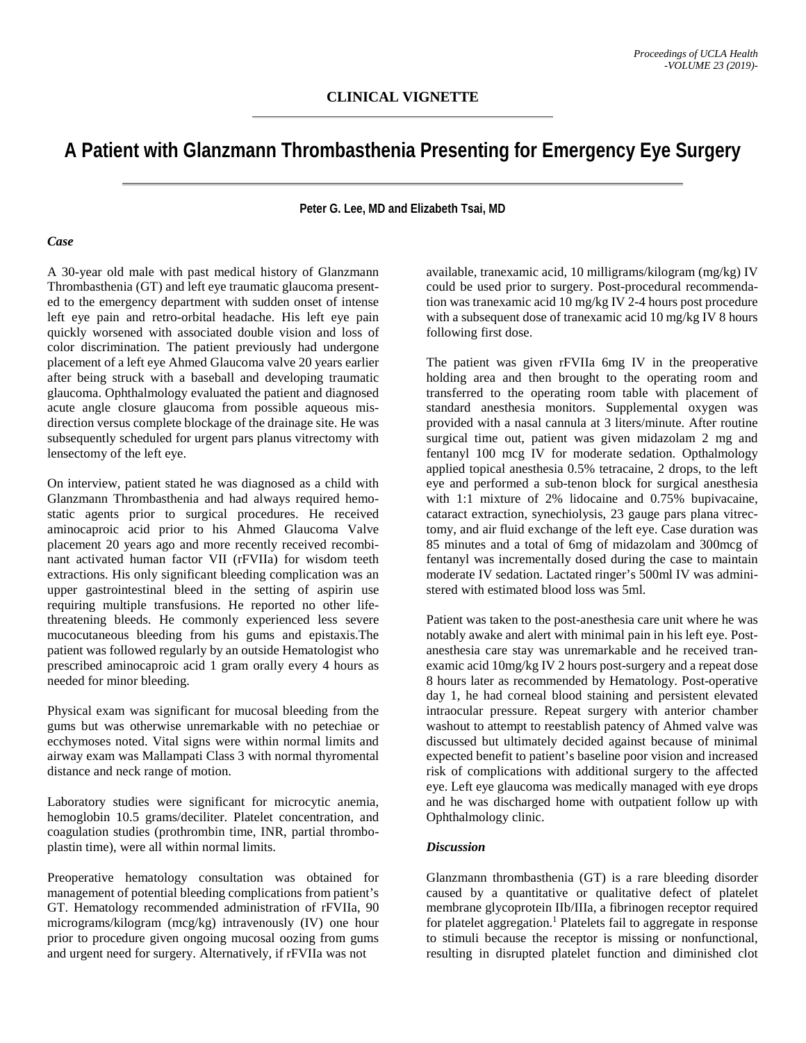## **A Patient with Glanzmann Thrombasthenia Presenting for Emergency Eye Surgery**

**Peter G. Lee, MD and Elizabeth Tsai, MD**

## *Case*

A 30-year old male with past medical history of Glanzmann Thrombasthenia (GT) and left eye traumatic glaucoma presented to the emergency department with sudden onset of intense left eye pain and retro-orbital headache. His left eye pain quickly worsened with associated double vision and loss of color discrimination. The patient previously had undergone placement of a left eye Ahmed Glaucoma valve 20 years earlier after being struck with a baseball and developing traumatic glaucoma. Ophthalmology evaluated the patient and diagnosed acute angle closure glaucoma from possible aqueous misdirection versus complete blockage of the drainage site. He was subsequently scheduled for urgent pars planus vitrectomy with lensectomy of the left eye.

On interview, patient stated he was diagnosed as a child with Glanzmann Thrombasthenia and had always required hemostatic agents prior to surgical procedures. He received aminocaproic acid prior to his Ahmed Glaucoma Valve placement 20 years ago and more recently received recombinant activated human factor VII (rFVIIa) for wisdom teeth extractions. His only significant bleeding complication was an upper gastrointestinal bleed in the setting of aspirin use requiring multiple transfusions. He reported no other lifethreatening bleeds. He commonly experienced less severe mucocutaneous bleeding from his gums and epistaxis.The patient was followed regularly by an outside Hematologist who prescribed aminocaproic acid 1 gram orally every 4 hours as needed for minor bleeding.

Physical exam was significant for mucosal bleeding from the gums but was otherwise unremarkable with no petechiae or ecchymoses noted. Vital signs were within normal limits and airway exam was Mallampati Class 3 with normal thyromental distance and neck range of motion.

Laboratory studies were significant for microcytic anemia, hemoglobin 10.5 grams/deciliter. Platelet concentration, and coagulation studies (prothrombin time, INR, partial thromboplastin time), were all within normal limits.

Preoperative hematology consultation was obtained for management of potential bleeding complications from patient's GT. Hematology recommended administration of rFVIIa, 90 micrograms/kilogram (mcg/kg) intravenously (IV) one hour prior to procedure given ongoing mucosal oozing from gums and urgent need for surgery. Alternatively, if rFVIIa was not

available, tranexamic acid, 10 milligrams/kilogram (mg/kg) IV could be used prior to surgery. Post-procedural recommendation was tranexamic acid 10 mg/kg IV 2-4 hours post procedure with a subsequent dose of tranexamic acid 10 mg/kg IV 8 hours following first dose.

The patient was given rFVIIa 6mg IV in the preoperative holding area and then brought to the operating room and transferred to the operating room table with placement of standard anesthesia monitors. Supplemental oxygen was provided with a nasal cannula at 3 liters/minute. After routine surgical time out, patient was given midazolam 2 mg and fentanyl 100 mcg IV for moderate sedation. Opthalmology applied topical anesthesia 0.5% tetracaine, 2 drops, to the left eye and performed a sub-tenon block for surgical anesthesia with 1:1 mixture of 2% lidocaine and 0.75% bupivacaine, cataract extraction, synechiolysis, 23 gauge pars plana vitrectomy, and air fluid exchange of the left eye. Case duration was 85 minutes and a total of 6mg of midazolam and 300mcg of fentanyl was incrementally dosed during the case to maintain moderate IV sedation. Lactated ringer's 500ml IV was administered with estimated blood loss was 5ml.

Patient was taken to the post-anesthesia care unit where he was notably awake and alert with minimal pain in his left eye. Postanesthesia care stay was unremarkable and he received tranexamic acid 10mg/kg IV 2 hours post-surgery and a repeat dose 8 hours later as recommended by Hematology. Post-operative day 1, he had corneal blood staining and persistent elevated intraocular pressure. Repeat surgery with anterior chamber washout to attempt to reestablish patency of Ahmed valve was discussed but ultimately decided against because of minimal expected benefit to patient's baseline poor vision and increased risk of complications with additional surgery to the affected eye. Left eye glaucoma was medically managed with eye drops and he was discharged home with outpatient follow up with Ophthalmology clinic.

## *Discussion*

Glanzmann thrombasthenia (GT) is a rare bleeding disorder caused by a quantitative or qualitative defect of platelet membrane glycoprotein IIb/IIIa, a fibrinogen receptor required for platelet aggregation.<sup>1</sup> Platelets fail to aggregate in response to stimuli because the receptor is missing or nonfunctional, resulting in disrupted platelet function and diminished clot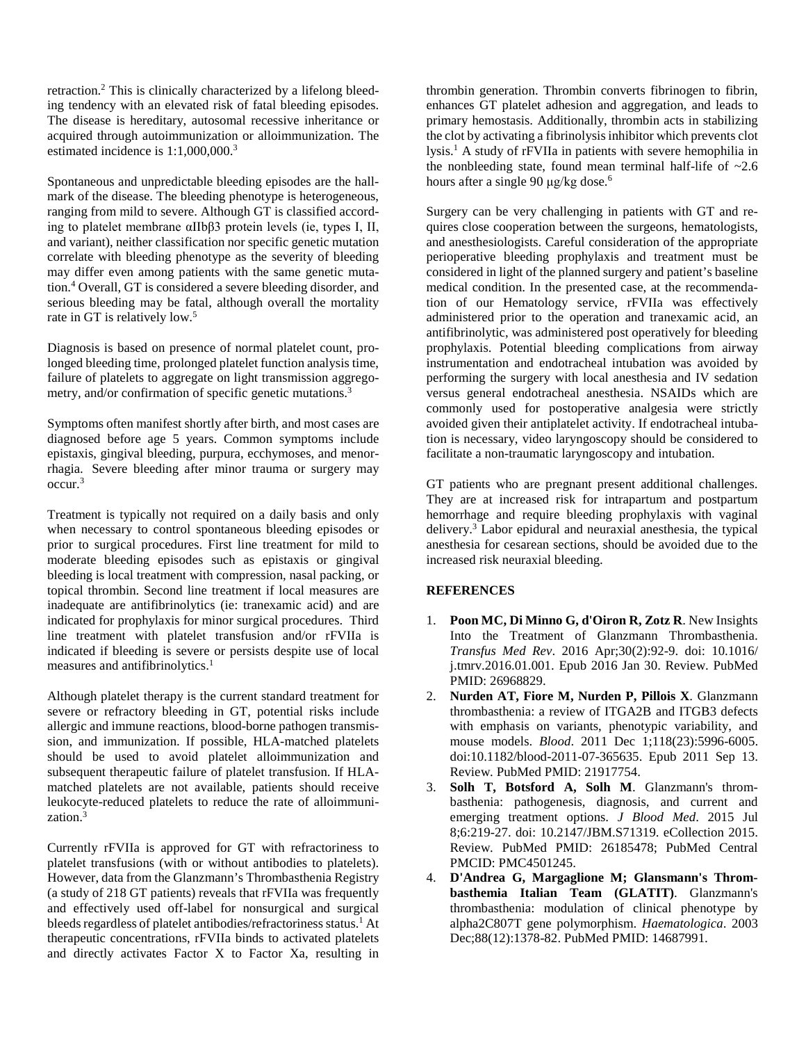retraction. <sup>2</sup> This is clinically characterized by a lifelong bleeding tendency with an elevated risk of fatal bleeding episodes. The disease is hereditary, autosomal recessive inheritance or acquired through autoimmunization or alloimmunization. The estimated incidence is 1:1,000,000. 3

Spontaneous and unpredictable bleeding episodes are the hallmark of the disease. The bleeding phenotype is heterogeneous, ranging from mild to severe. Although GT is classified according to platelet membrane αIIbβ3 protein levels (ie, types I, II, and variant), neither classification nor specific genetic mutation correlate with bleeding phenotype as the severity of bleeding may differ even among patients with the same genetic mutation. <sup>4</sup> Overall, GT is considered a severe bleeding disorder, and serious bleeding may be fatal, although overall the mortality rate in GT is relatively low.<sup>5</sup>

Diagnosis is based on presence of normal platelet count, prolonged bleeding time, prolonged platelet function analysis time, failure of platelets to aggregate on light transmission aggregometry, and/or confirmation of specific genetic mutations. 3

Symptoms often manifest shortly after birth, and most cases are diagnosed before age 5 years. Common symptoms include epistaxis, gingival bleeding, purpura, ecchymoses, and menorrhagia. Severe bleeding after minor trauma or surgery may occur.3

Treatment is typically not required on a daily basis and only when necessary to control spontaneous bleeding episodes or prior to surgical procedures. First line treatment for mild to moderate bleeding episodes such as epistaxis or gingival bleeding is local treatment with compression, nasal packing, or topical thrombin. Second line treatment if local measures are inadequate are antifibrinolytics (ie: tranexamic acid) and are indicated for prophylaxis for minor surgical procedures. Third line treatment with platelet transfusion and/or rFVIIa is indicated if bleeding is severe or persists despite use of local measures and antifibrinolytics. 1

Although platelet therapy is the current standard treatment for severe or refractory bleeding in GT, potential risks include allergic and immune reactions, blood-borne pathogen transmission, and immunization. If possible, HLA-matched platelets should be used to avoid platelet alloimmunization and subsequent therapeutic failure of platelet transfusion. If HLAmatched platelets are not available, patients should receive leukocyte-reduced platelets to reduce the rate of alloimmunization. 3

Currently rFVIIa is approved for GT with refractoriness to platelet transfusions (with or without antibodies to platelets). However, data from the Glanzmann's Thrombasthenia Registry (a study of 218 GT patients) reveals that rFVIIa was frequently and effectively used off-label for nonsurgical and surgical bleeds regardless of platelet antibodies/refractoriness status.<sup>1</sup> At therapeutic concentrations, rFVIIa binds to activated platelets and directly activates Factor X to Factor Xa, resulting in

thrombin generation. Thrombin converts fibrinogen to fibrin, enhances GT platelet adhesion and aggregation, and leads to primary hemostasis. Additionally, thrombin acts in stabilizing the clot by activating a fibrinolysis inhibitor which prevents clot lysis.1 A study of rFVIIa in patients with severe hemophilia in the nonbleeding state, found mean terminal half-life of  $~2.6$ hours after a single 90 μg/kg dose.<sup>6</sup>

Surgery can be very challenging in patients with GT and requires close cooperation between the surgeons, hematologists, and anesthesiologists. Careful consideration of the appropriate perioperative bleeding prophylaxis and treatment must be considered in light of the planned surgery and patient's baseline medical condition. In the presented case, at the recommendation of our Hematology service, rFVIIa was effectively administered prior to the operation and tranexamic acid, an antifibrinolytic, was administered post operatively for bleeding prophylaxis. Potential bleeding complications from airway instrumentation and endotracheal intubation was avoided by performing the surgery with local anesthesia and IV sedation versus general endotracheal anesthesia. NSAIDs which are commonly used for postoperative analgesia were strictly avoided given their antiplatelet activity. If endotracheal intubation is necessary, video laryngoscopy should be considered to facilitate a non-traumatic laryngoscopy and intubation.

GT patients who are pregnant present additional challenges. They are at increased risk for intrapartum and postpartum hemorrhage and require bleeding prophylaxis with vaginal delivery.3 Labor epidural and neuraxial anesthesia, the typical anesthesia for cesarean sections, should be avoided due to the increased risk neuraxial bleeding.

## **REFERENCES**

- 1. **Poon MC, Di Minno G, d'Oiron R, Zotz R**. New Insights Into the Treatment of Glanzmann Thrombasthenia. *Transfus Med Rev*. 2016 Apr;30(2):92-9. doi: 10.1016/ j.tmrv.2016.01.001. Epub 2016 Jan 30. Review. PubMed PMID: 26968829.
- 2. **Nurden AT, Fiore M, Nurden P, Pillois X**. Glanzmann thrombasthenia: a review of ITGA2B and ITGB3 defects with emphasis on variants, phenotypic variability, and mouse models. *Blood*. 2011 Dec 1;118(23):5996-6005. doi:10.1182/blood-2011-07-365635. Epub 2011 Sep 13. Review. PubMed PMID: 21917754.
- 3. **Solh T, Botsford A, Solh M**. Glanzmann's thrombasthenia: pathogenesis, diagnosis, and current and emerging treatment options. *J Blood Med*. 2015 Jul 8;6:219-27. doi: 10.2147/JBM.S71319. eCollection 2015. Review. PubMed PMID: 26185478; PubMed Central PMCID: PMC4501245.
- 4. **D'Andrea G, Margaglione M; Glansmann's Thrombasthemia Italian Team (GLATIT)**. Glanzmann's thrombasthenia: modulation of clinical phenotype by alpha2C807T gene polymorphism. *Haematologica*. 2003 Dec;88(12):1378-82. PubMed PMID: 14687991.